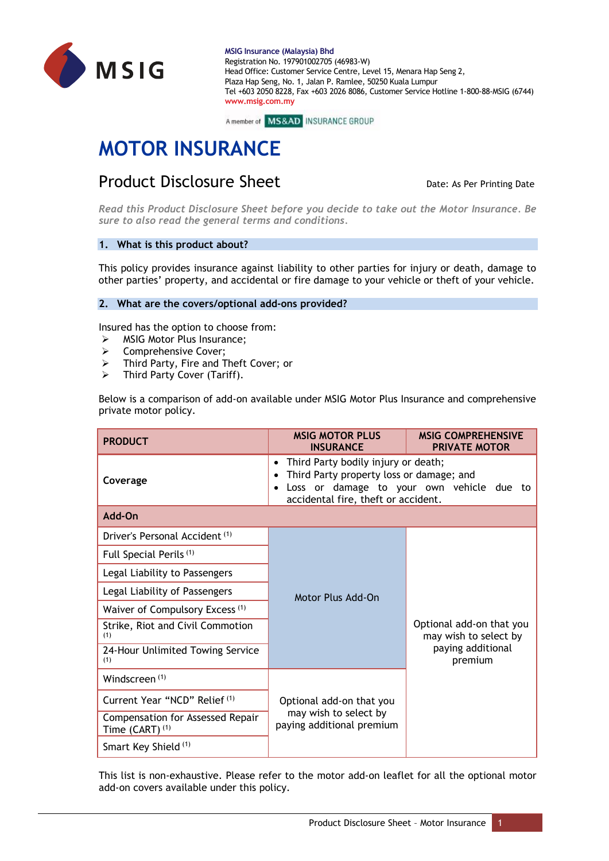



# **MOTOR INSURANCE**

# Product Disclosure Sheet Date: As Per Printing Date: As Per Printing Date

*Read this Product Disclosure Sheet before you decide to take out the Motor Insurance. Be sure to also read the general terms and conditions.*

# **1. What is this product about?**

This policy provides insurance against liability to other parties for injury or death, damage to other parties' property, and accidental or fire damage to your vehicle or theft of your vehicle.

# **2. What are the covers/optional add-ons provided?**

Insured has the option to choose from:

- ➢ MSIG Motor Plus Insurance;
- ➢ Comprehensive Cover;
- ➢ Third Party, Fire and Theft Cover; or
- ➢ Third Party Cover (Tariff).

Below is a comparison of add-on available under MSIG Motor Plus Insurance and comprehensive private motor policy.

| <b>PRODUCT</b>                                          | <b>MSIG MOTOR PLUS</b><br><b>INSURANCE</b>                                                                                                                                                                 | <b>MSIG COMPREHENSIVE</b><br><b>PRIVATE MOTOR</b>                                 |  |  |
|---------------------------------------------------------|------------------------------------------------------------------------------------------------------------------------------------------------------------------------------------------------------------|-----------------------------------------------------------------------------------|--|--|
| Coverage                                                | Third Party bodily injury or death;<br>$\bullet$<br>Third Party property loss or damage; and<br>$\bullet$<br>Loss or damage to your own vehicle due to<br>$\bullet$<br>accidental fire, theft or accident. |                                                                                   |  |  |
| Add-On                                                  |                                                                                                                                                                                                            |                                                                                   |  |  |
| Driver's Personal Accident (1)                          |                                                                                                                                                                                                            | Optional add-on that you<br>may wish to select by<br>paying additional<br>premium |  |  |
| Full Special Perils <sup>(1)</sup>                      |                                                                                                                                                                                                            |                                                                                   |  |  |
| Legal Liability to Passengers                           | Motor Plus Add-On                                                                                                                                                                                          |                                                                                   |  |  |
| Legal Liability of Passengers                           |                                                                                                                                                                                                            |                                                                                   |  |  |
| Waiver of Compulsory Excess <sup>(1)</sup>              |                                                                                                                                                                                                            |                                                                                   |  |  |
| Strike, Riot and Civil Commotion<br>(1)                 |                                                                                                                                                                                                            |                                                                                   |  |  |
| 24-Hour Unlimited Towing Service<br>(1)                 |                                                                                                                                                                                                            |                                                                                   |  |  |
| Windscreen <sup>(1)</sup>                               |                                                                                                                                                                                                            |                                                                                   |  |  |
| Current Year "NCD" Relief (1)                           | Optional add-on that you                                                                                                                                                                                   |                                                                                   |  |  |
| Compensation for Assessed Repair<br>Time $(CART)^{(1)}$ | may wish to select by<br>paying additional premium                                                                                                                                                         |                                                                                   |  |  |
| Smart Key Shield (1)                                    |                                                                                                                                                                                                            |                                                                                   |  |  |

This list is non-exhaustive. Please refer to the motor add-on leaflet for all the optional motor add-on covers available under this policy.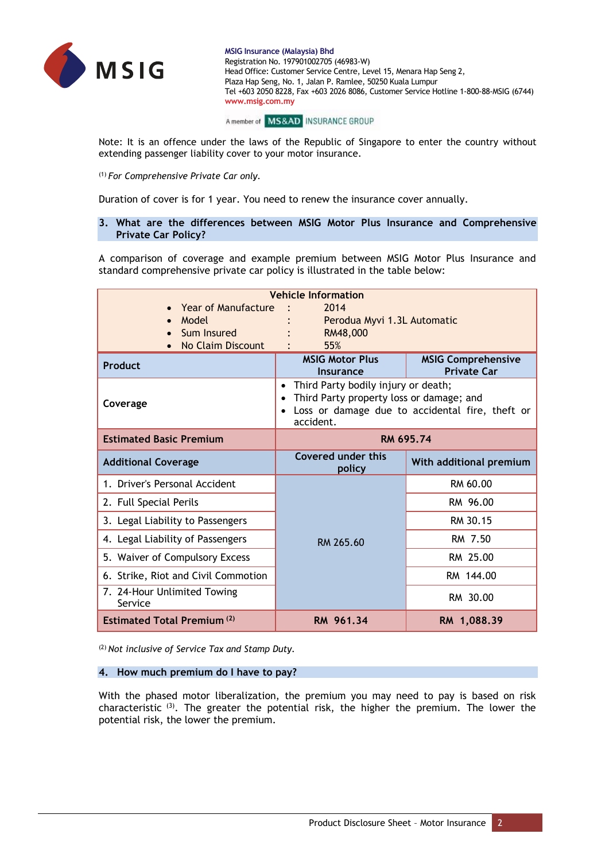

A member of MS&AD INSURANCE GROUP

Note: It is an offence under the laws of the Republic of Singapore to enter the country without extending passenger liability cover to your motor insurance.

(1) *For Comprehensive Private Car only.*

Duration of cover is for 1 year. You need to renew the insurance cover annually.

# **3. What are the differences between MSIG Motor Plus Insurance and Comprehensive Private Car Policy?**

A comparison of coverage and example premium between MSIG Motor Plus Insurance and standard comprehensive private car policy is illustrated in the table below:

| <b>Vehicle Information</b>             |                                                                                                                                                                           |                                                 |  |  |
|----------------------------------------|---------------------------------------------------------------------------------------------------------------------------------------------------------------------------|-------------------------------------------------|--|--|
| <b>Year of Manufacture</b>             | 2014                                                                                                                                                                      |                                                 |  |  |
| Model                                  | Perodua Myvi 1.3L Automatic                                                                                                                                               |                                                 |  |  |
| Sum Insured                            | RM48,000                                                                                                                                                                  |                                                 |  |  |
| <b>No Claim Discount</b>               | 55%                                                                                                                                                                       |                                                 |  |  |
| <b>Product</b>                         | <b>MSIG Motor Plus</b><br>Insurance                                                                                                                                       | <b>MSIG Comprehensive</b><br><b>Private Car</b> |  |  |
| Coverage                               | Third Party bodily injury or death;<br>$\bullet$<br>Third Party property loss or damage; and<br>Loss or damage due to accidental fire, theft or<br>$\bullet$<br>accident. |                                                 |  |  |
| <b>Estimated Basic Premium</b>         | RM 695.74                                                                                                                                                                 |                                                 |  |  |
| <b>Additional Coverage</b>             | Covered under this<br>policy                                                                                                                                              | With additional premium                         |  |  |
| 1. Driver's Personal Accident          |                                                                                                                                                                           | RM 60.00                                        |  |  |
| 2. Full Special Perils                 |                                                                                                                                                                           | RM 96.00                                        |  |  |
| 3. Legal Liability to Passengers       |                                                                                                                                                                           | RM 30.15                                        |  |  |
| 4. Legal Liability of Passengers       | RM 265.60                                                                                                                                                                 | RM 7.50                                         |  |  |
| 5. Waiver of Compulsory Excess         |                                                                                                                                                                           | RM 25.00                                        |  |  |
| 6. Strike, Riot and Civil Commotion    |                                                                                                                                                                           | RM 144.00                                       |  |  |
| 7. 24-Hour Unlimited Towing<br>Service |                                                                                                                                                                           | RM 30.00                                        |  |  |
| <b>Estimated Total Premium (2)</b>     | RM 961.34                                                                                                                                                                 | RM 1,088.39                                     |  |  |

(2) *Not inclusive of Service Tax and Stamp Duty.*

#### **4. How much premium do I have to pay?**

With the phased motor liberalization, the premium you may need to pay is based on risk characteristic <sup>(3)</sup>. The greater the potential risk, the higher the premium. The lower the potential risk, the lower the premium.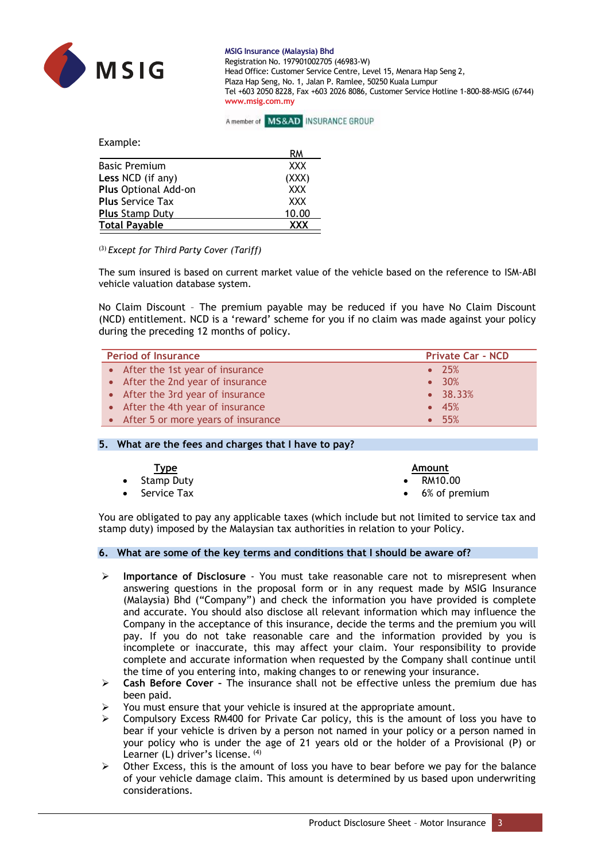

# A member of MS&AD INSURANCE GROUP

Example:

|                         | RM         |
|-------------------------|------------|
| <b>Basic Premium</b>    | <b>XXX</b> |
| Less NCD (if any)       | (XXX)      |
| Plus Optional Add-on    | <b>XXX</b> |
| <b>Plus Service Tax</b> | <b>XXX</b> |
| <b>Plus Stamp Duty</b>  | 10.00      |
| <b>Total Payable</b>    | <b>ΥΥΥ</b> |

(3) *Except for Third Party Cover (Tariff)*

The sum insured is based on current market value of the vehicle based on the reference to ISM-ABI vehicle valuation database system.

No Claim Discount – The premium payable may be reduced if you have No Claim Discount (NCD) entitlement. NCD is a 'reward' scheme for you if no claim was made against your policy during the preceding 12 months of policy.

| <b>Period of Insurance</b>           | <b>Private Car - NCD</b> |
|--------------------------------------|--------------------------|
| • After the 1st year of insurance    | $\bullet$ 25%            |
| • After the 2nd year of insurance    | $\bullet$ 30%            |
| • After the 3rd year of insurance    | $-38.33%$                |
| • After the 4th year of insurance    | $\bullet$ 45%            |
| • After 5 or more years of insurance | • 55%                    |

#### **5. What are the fees and charges that I have to pay?**

| <u>Type</u>           | Amount                  |
|-----------------------|-------------------------|
| • Stamp Duty          | $\bullet$ RM10.00       |
| $\bullet$ Service Tax | $\bullet$ 6% of premium |

You are obligated to pay any applicable taxes (which include but not limited to service tax and stamp duty) imposed by the Malaysian tax authorities in relation to your Policy.

#### **6. What are some of the key terms and conditions that I should be aware of?**

- ➢ **Importance of Disclosure**  You must take reasonable care not to misrepresent when answering questions in the proposal form or in any request made by MSIG Insurance (Malaysia) Bhd ("Company") and check the information you have provided is complete and accurate. You should also disclose all relevant information which may influence the Company in the acceptance of this insurance, decide the terms and the premium you will pay. If you do not take reasonable care and the information provided by you is incomplete or inaccurate, this may affect your claim. Your responsibility to provide complete and accurate information when requested by the Company shall continue until the time of you entering into, making changes to or renewing your insurance.
- ➢ **Cash Before Cover –** The insurance shall not be effective unless the premium due has been paid.
- You must ensure that your vehicle is insured at the appropriate amount.
- ➢ Compulsory Excess RM400 for Private Car policy, this is the amount of loss you have to bear if your vehicle is driven by a person not named in your policy or a person named in your policy who is under the age of 21 years old or the holder of a Provisional (P) or Learner (L) driver's license. (4)
- $\triangleright$  Other Excess, this is the amount of loss you have to bear before we pay for the balance of your vehicle damage claim. This amount is determined by us based upon underwriting considerations.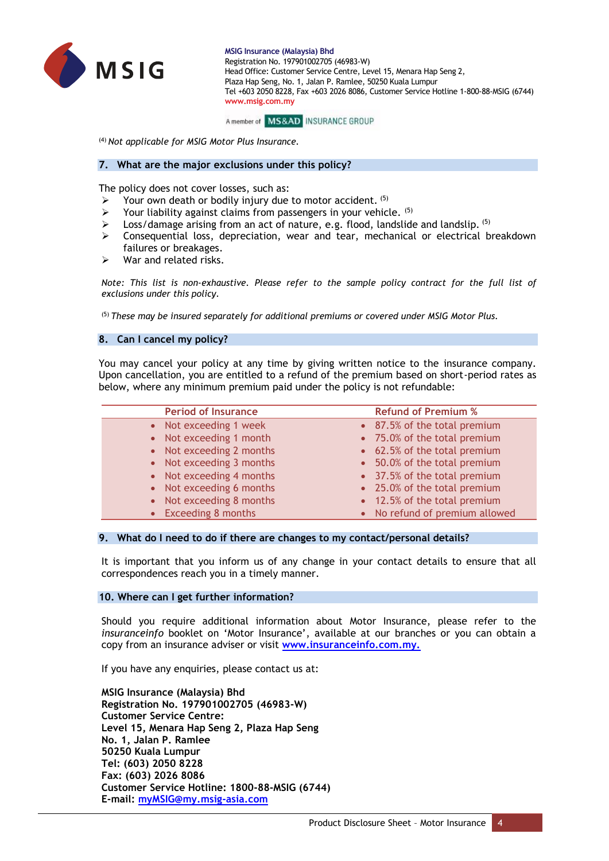



(4) *Not applicable for MSIG Motor Plus Insurance.*

#### **7. What are the major exclusions under this policy?**

The policy does not cover losses, such as:

- Your own death or bodily injury due to motor accident. (5)
- Your liability against claims from passengers in your vehicle. (5)
- $\triangleright$  Loss/damage arising from an act of nature, e.g. flood, landslide and landslip.  $(5)$
- ➢ Consequential loss, depreciation, wear and tear, mechanical or electrical breakdown failures or breakages.
- $\triangleright$  War and related risks.

*Note: This list is non-exhaustive. Please refer to the sample policy contract for the full list of exclusions under this policy.*

(5) *These may be insured separately for additional premiums or covered under MSIG Motor Plus.*

#### **8. Can I cancel my policy?**

You may cancel your policy at any time by giving written notice to the insurance company. Upon cancellation, you are entitled to a refund of the premium based on short-period rates as below, where any minimum premium paid under the policy is not refundable:

| <b>Period of Insurance</b> | <b>Refund of Premium %</b>     |
|----------------------------|--------------------------------|
| • Not exceeding 1 week     | • 87.5% of the total premium   |
| • Not exceeding 1 month    | • 75.0% of the total premium   |
| • Not exceeding 2 months   | • 62.5% of the total premium   |
| • Not exceeding 3 months   | • 50.0% of the total premium   |
| • Not exceeding 4 months   | • 37.5% of the total premium   |
| • Not exceeding 6 months   | • 25.0% of the total premium   |
| • Not exceeding 8 months   | • 12.5% of the total premium   |
| • Exceeding 8 months       | • No refund of premium allowed |
|                            |                                |

#### **9. What do I need to do if there are changes to my contact/personal details?**

It is important that you inform us of any change in your contact details to ensure that all correspondences reach you in a timely manner.

#### **10. Where can I get further information?**

Should you require additional information about Motor Insurance, please refer to the *insuranceinfo* booklet on 'Motor Insurance', available at our branches or you can obtain a copy from an insurance adviser or visit **www.insuranceinfo.com.my.**

If you have any enquiries, please contact us at:

**MSIG Insurance (Malaysia) Bhd Registration No. 197901002705 (46983-W) Customer Service Centre: Level 15, Menara Hap Seng 2, Plaza Hap Seng No. 1, Jalan P. Ramlee 50250 Kuala Lumpur Tel: (603) 2050 8228 Fax: (603) 2026 8086 Customer Service Hotline: 1800-88-MSIG (6744) E-mail: [myMSIG@my.msig-asia.com](mailto:myMSIG@my.msig-asia.com)**